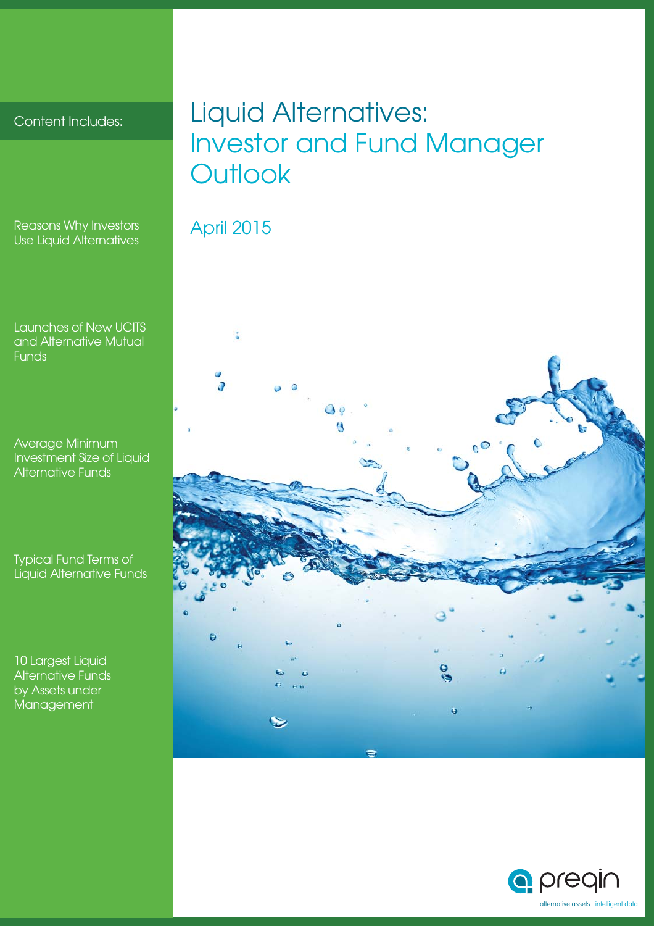# Content Includes:

Reasons Why Investors Use Liquid Alternatives

Launches of New UCITS and Alternative Mutual Funds

Average Minimum Investment Size of Liquid Alternative Funds

Typical Fund Terms of Liquid Alternative Funds

10 Largest Liquid Alternative Funds by Assets under **Management** 

# Liquid Alternatives: Investor and Fund Manager **Outlook**

# April 2015

t  $\frac{6}{2}$ ö

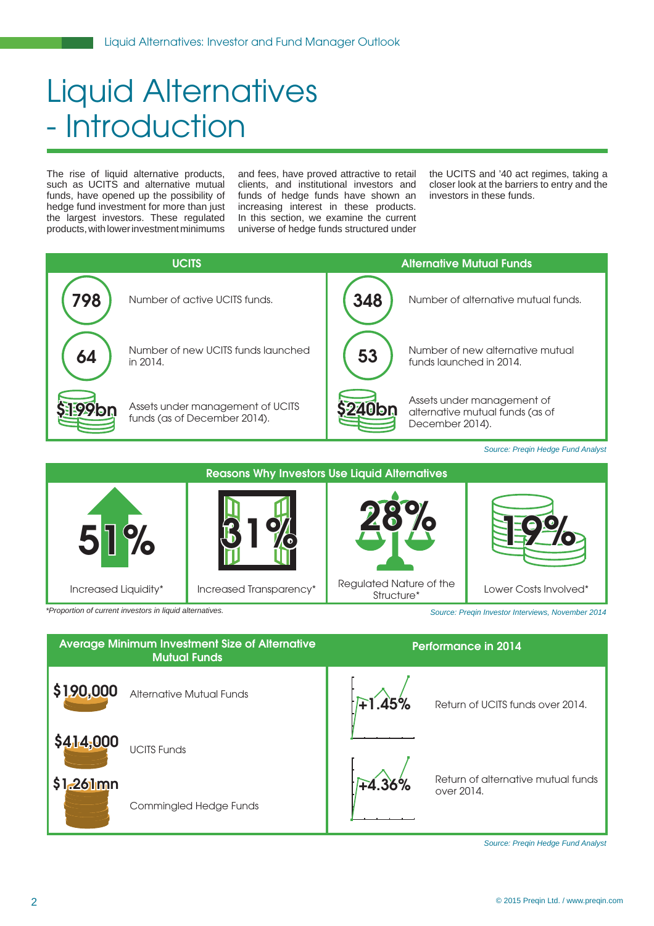# Liquid Alternatives - Introduction

The rise of liquid alternative products, such as UCITS and alternative mutual funds, have opened up the possibility of hedge fund investment for more than just the largest investors. These regulated products, with lower investment minimums and fees, have proved attractive to retail clients, and institutional investors and funds of hedge funds have shown an increasing interest in these products. In this section, we examine the current universe of hedge funds structured under

the UCITS and '40 act regimes, taking a closer look at the barriers to entry and the investors in these funds.





*Source: Preqin Investor Interviews, November 2014*

| <b>Average Minimum Investment Size of Alternative</b><br><b>Mutual Funds</b> | <b>Performance in 2014</b>                                   |
|------------------------------------------------------------------------------|--------------------------------------------------------------|
| \$190,000<br>Alternative Mutual Funds                                        | F1.45%<br>Return of UCITS funds over 2014.                   |
| \$414,000<br><b>UCITS Funds</b>                                              |                                                              |
| $$1.261$ mn<br>Commingled Hedge Funds                                        | Return of alternative mutual funds<br>$+4.36%$<br>over 2014. |

*Source: Preqin Hedge Fund Analyst*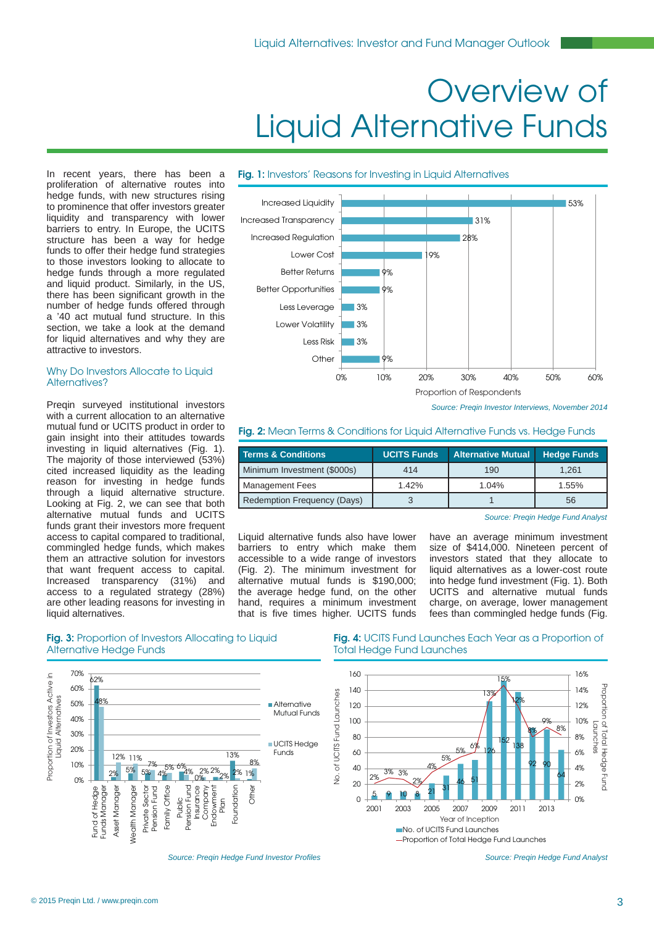# Overview of Liquid Alternative Funds

## **Fig. 1:** Investors' Reasons for Investing in Liquid Alternatives

In recent years, there has been a proliferation of alternative routes into hedge funds, with new structures rising to prominence that offer investors greater liquidity and transparency with lower barriers to entry. In Europe, the UCITS structure has been a way for hedge funds to offer their hedge fund strategies to those investors looking to allocate to hedge funds through a more regulated and liquid product. Similarly, in the US, there has been significant growth in the number of hedge funds offered through a '40 act mutual fund structure. In this section, we take a look at the demand for liquid alternatives and why they are attractive to investors.

### Why Do Investors Allocate to Liquid Alternatives?

Pregin surveyed institutional investors with a current allocation to an alternative mutual fund or UCITS product in order to gain insight into their attitudes towards investing in liquid alternatives (Fig. 1). The majority of those interviewed (53%) cited increased liquidity as the leading reason for investing in hedge funds through a liquid alternative structure. Looking at Fig. 2, we can see that both alternative mutual funds and UCITS funds grant their investors more frequent access to capital compared to traditional, commingled hedge funds, which makes them an attractive solution for investors that want frequent access to capital. Increased transparency (31%) and access to a regulated strategy (28%) are other leading reasons for investing in liquid alternatives.



*Source: Preqin Investor Interviews, November 2014*

## **Fig. 2:** Mean Terms & Conditions for Liquid Alternative Funds vs. Hedge Funds

| <b>Terms &amp; Conditions</b> | <b>UCITS Funds</b> | <b>Alternative Mutual</b> | <b>Hedge Funds</b> |
|-------------------------------|--------------------|---------------------------|--------------------|
| Minimum Investment (\$000s)   | 414                | 190                       | 1.261              |
| <b>Management Fees</b>        | 1.42%              | 1.04%                     | 1.55%              |
| Redemption Frequency (Days)   |                    |                           | 56                 |

*Source: Preqin Hedge Fund Analyst*

Liquid alternative funds also have lower barriers to entry which make them accessible to a wide range of investors (Fig. 2). The minimum investment for alternative mutual funds is \$190,000; the average hedge fund, on the other hand, requires a minimum investment that is five times higher. UCITS funds

have an average minimum investment size of \$414,000. Nineteen percent of investors stated that they allocate to liquid alternatives as a lower-cost route into hedge fund investment (Fig. 1). Both UCITS and alternative mutual funds charge, on average, lower management fees than commingled hedge funds (Fig.

# **Fig. 3:** Proportion of Investors Allocating to Liquid Alternative Hedge Funds



# **Fig. 4:** UCITS Fund Launches Each Year as a Proportion of Total Hedge Fund Launches



**Source: Preqin Hedge Fund Investor Profiles** 

*Source: Preqin Hedge Fund Analyst*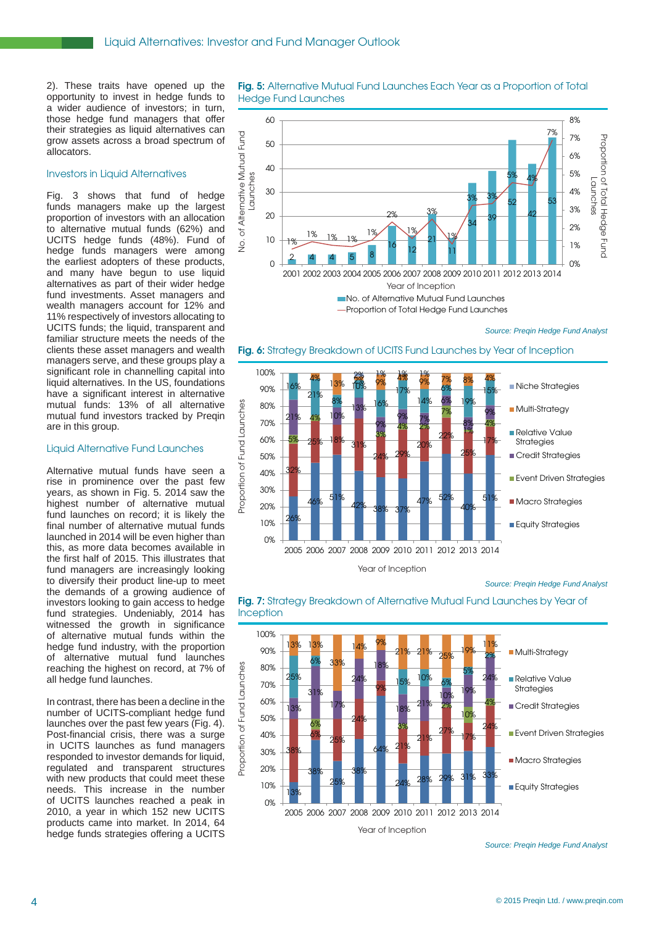2). These traits have opened up the opportunity to invest in hedge funds to a wider audience of investors; in turn, those hedge fund managers that offer their strategies as liquid alternatives can grow assets across a broad spectrum of allocators.

# Investors in Liquid Alternatives

Fig. 3 shows that fund of hedge funds managers make up the largest proportion of investors with an allocation to alternative mutual funds (62%) and UCITS hedge funds (48%). Fund of hedge funds managers were among the earliest adopters of these products, and many have begun to use liquid alternatives as part of their wider hedge fund investments. Asset managers and wealth managers account for 12% and 11% respectively of investors allocating to UCITS funds; the liquid, transparent and familiar structure meets the needs of the clients these asset managers and wealth managers serve, and these groups play a significant role in channelling capital into liquid alternatives. In the US, foundations have a significant interest in alternative mutual funds: 13% of all alternative mutual fund investors tracked by Preqin are in this group.

#### Liquid Alternative Fund Launches

Alternative mutual funds have seen a rise in prominence over the past few years, as shown in Fig. 5. 2014 saw the highest number of alternative mutual fund launches on record; it is likely the final number of alternative mutual funds launched in 2014 will be even higher than this, as more data becomes available in the first half of 2015. This illustrates that fund managers are increasingly looking to diversify their product line-up to meet the demands of a growing audience of investors looking to gain access to hedge fund strategies. Undeniably, 2014 has witnessed the growth in significance of alternative mutual funds within the hedge fund industry, with the proportion of alternative mutual fund launches reaching the highest on record, at 7% of all hedge fund launches.

In contrast, there has been a decline in the number of UCITS-compliant hedge fund launches over the past few years (Fig. 4). Post-financial crisis, there was a surge in UCITS launches as fund managers responded to investor demands for liquid, regulated and transparent structures with new products that could meet these needs. This increase in the number of UCITS launches reached a peak in 2010, a year in which 152 new UCITS products came into market. In 2014, 64 hedge funds strategies offering a UCITS

# **Fig. 5:** Alternative Mutual Fund Launches Each Year as a Proportion of Total Hedge Fund Launches



*Source: Preqin Hedge Fund Analyst*



# **Fig. 6:** Strategy Breakdown of UCITS Fund Launches by Year of Inception





### **Fig. 7:** Strategy Breakdown of Alternative Mutual Fund Launches by Year of **Inception**

*Source: Preqin Hedge Fund Analyst*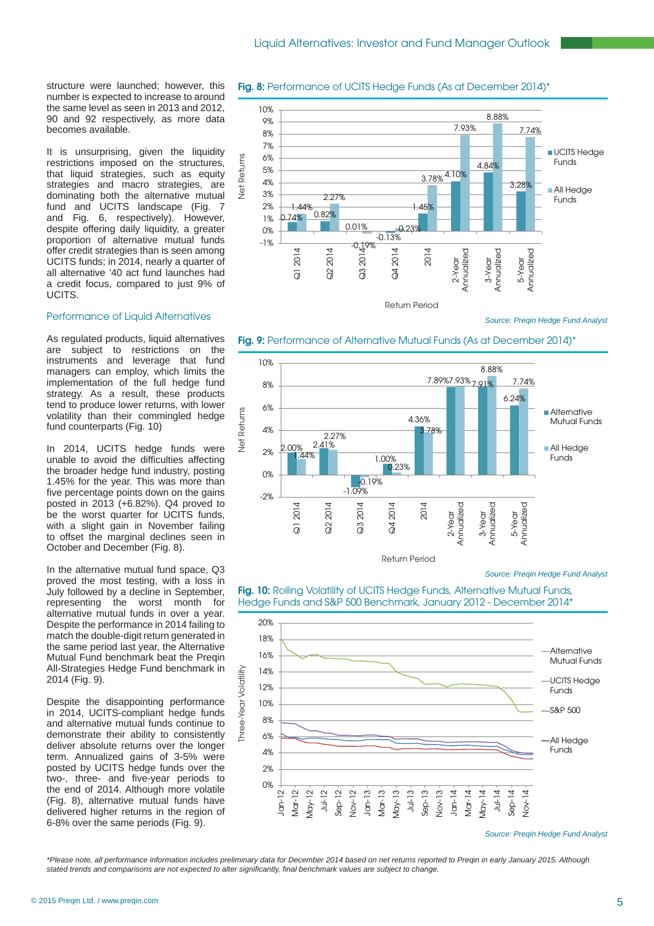structure were launched; however, this number is expected to increase to around the same level as seen in 2013 and 2012, 90 and 92 respectively, as more data becomes available.

It is unsurprising, given the liquidity restrictions imposed on the structures, that liquid strategies, such as equity strategies and macro strategies, are dominating both the alternative mutual fund and UCITS landscape (Fig. 7 and Fig. 6, respectively). However, despite offering daily liquidity, a greater proportion of alternative mutual funds offer credit strategies than is seen among UCITS funds; in 2014, nearly a quarter of all alternative '40 act fund launches had a credit focus, compared to just 9% of UCITS.

### Performance of Liquid Alternatives

As regulated products, liquid alternatives are subject to restrictions on the instruments and leverage that fund managers can employ, which limits the implementation of the full hedge fund strategy. As a result, these products tend to produce lower returns, with lower volatility than their commingled hedge fund counterparts (Fig. 10)

In 2014, UCITS hedge funds were unable to avoid the difficulties affecting the broader hedge fund industry, posting 1.45% for the year. This was more than five percentage points down on the gains posted in 2013 (+6.82%). Q4 proved to be the worst quarter for UCITS funds. with a slight gain in November failing to offset the marginal declines seen in October and December (Fig. 8).

In the alternative mutual fund space, Q3 proved the most testing, with a loss in July followed by a decline in September, representing the worst month for alternative mutual funds in over a year. Despite the performance in 2014 failing to match the double-digit return generated in the same period last year, the Alternative Mutual Fund benchmark beat the Pregin All-Strategies Hedge Fund benchmark in 2014 (Fig. 9).

Despite the disappointing performance in 2014, UCITS-compliant hedge funds and alternative mutual funds continue to demonstrate their ability to consistently deliver absolute returns over the longer term. Annualized gains of 3-5% were posted by UCITS hedge funds over the two-, three- and five-year periods to the end of 2014. Although more volatile (Fig. 8), alternative mutual funds have delivered higher returns in the region of 6-8% over the same periods (Fig. 9).



*Source: Preqin Hedge Fund Analyst*





*Source: Preqin Hedge Fund Analyst*

**Fig. 10: Rolling Volatility of UCITS Hedge Funds, Alternative Mutual Funds,** Hedge Funds and S&P 500 Benchmark, January 2012 - December 2014\*



*Source: Preqin Hedge Fund Analyst*

*\*Please note, all performance information includes preliminary data for December 2014 based on net returns reported to Preqin in early January 2015. Although stated trends and comparisons are not expected to alter signifi cantly, fi nal benchmark values are subject to change.*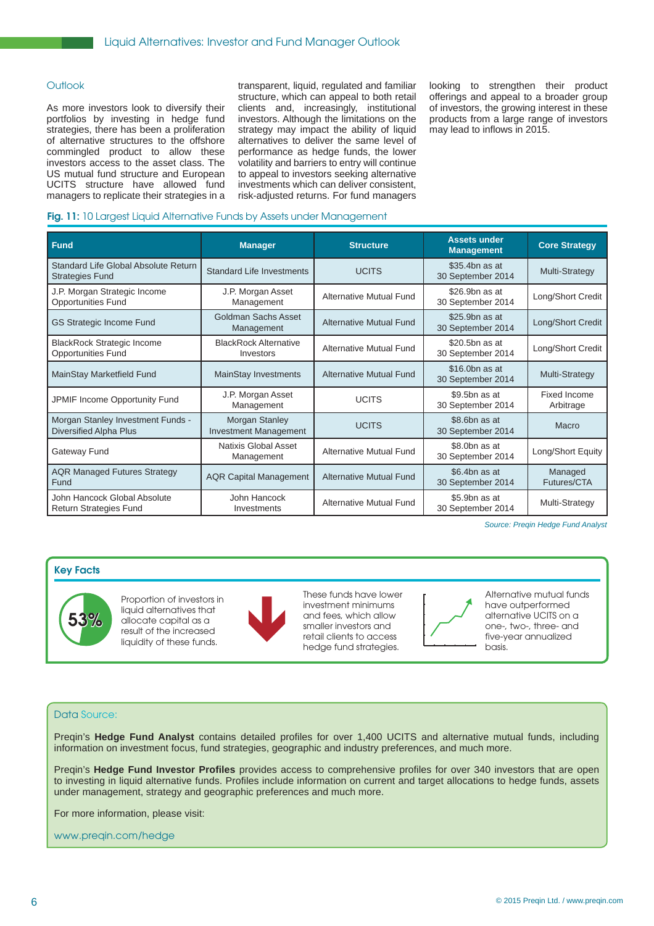### **Outlook**

As more investors look to diversify their portfolios by investing in hedge fund strategies, there has been a proliferation of alternative structures to the offshore commingled product to allow these investors access to the asset class. The US mutual fund structure and European UCITS structure have allowed fund managers to replicate their strategies in a transparent, liquid, regulated and familiar structure, which can appeal to both retail clients and, increasingly, institutional investors. Although the limitations on the strategy may impact the ability of liquid alternatives to deliver the same level of performance as hedge funds, the lower volatility and barriers to entry will continue to appeal to investors seeking alternative investments which can deliver consistent, risk-adjusted returns. For fund managers

looking to strengthen their product offerings and appeal to a broader group of investors, the growing interest in these products from a large range of investors may lead to inflows in 2015.

# **Fig. 11: 10 Largest Liquid Alternative Funds by Assets under Management**

| <b>Fund</b>                                                        | <b>Manager</b>                                 | <b>Structure</b>               | <b>Assets under</b><br><b>Management</b> | <b>Core Strategy</b>      |
|--------------------------------------------------------------------|------------------------------------------------|--------------------------------|------------------------------------------|---------------------------|
| Standard Life Global Absolute Return<br><b>Strategies Fund</b>     | <b>Standard Life Investments</b>               | <b>UCITS</b>                   | \$35.4bn as at<br>30 September 2014      | Multi-Strategy            |
| J.P. Morgan Strategic Income<br><b>Opportunities Fund</b>          | J.P. Morgan Asset<br>Management                | <b>Alternative Mutual Fund</b> | \$26.9bn as at<br>30 September 2014      | Long/Short Credit         |
| <b>GS Strategic Income Fund</b>                                    | Goldman Sachs Asset<br>Management              | <b>Alternative Mutual Fund</b> | \$25.9bn as at<br>30 September 2014      | Long/Short Credit         |
| <b>BlackRock Strategic Income</b><br><b>Opportunities Fund</b>     | <b>BlackRock Alternative</b><br>Investors      | <b>Alternative Mutual Fund</b> | \$20,5bn as at<br>30 September 2014      | Long/Short Credit         |
| MainStay Marketfield Fund                                          | <b>MainStay Investments</b>                    | <b>Alternative Mutual Fund</b> | $$16.0bn$ as at<br>30 September 2014     | Multi-Strategy            |
| JPMIF Income Opportunity Fund                                      | J.P. Morgan Asset<br>Management                | <b>UCITS</b>                   | \$9.5bn as at<br>30 September 2014       | Fixed Income<br>Arbitrage |
| Morgan Stanley Investment Funds -<br><b>Diversified Alpha Plus</b> | Morgan Stanley<br><b>Investment Management</b> | <b>UCITS</b>                   | \$8.6bn as at<br>30 September 2014       | Macro                     |
| Gateway Fund                                                       | Natixis Global Asset<br>Management             | <b>Alternative Mutual Fund</b> | \$8.0bn as at<br>30 September 2014       | Long/Short Equity         |
| <b>AQR Managed Futures Strategy</b><br>Fund                        | <b>AQR Capital Management</b>                  | <b>Alternative Mutual Fund</b> | \$6.4bn as at<br>30 September 2014       | Managed<br>Futures/CTA    |
| John Hancock Global Absolute<br>Return Strategies Fund             | John Hancock<br>Investments                    | <b>Alternative Mutual Fund</b> | \$5.9bn as at<br>30 September 2014       | Multi-Strategy            |

*Source: Preqin Hedge Fund Analyst*

# **Key Facts**



Proportion of investors in liquid alternatives that allocate capital as a result of the increased<br>liquidity of these funds.



Proportion of investors in These funds have lower<br>liquid alternatives that<br>allocate capital as a<br>result of the increased<br>liquidity of these funds.<br>hedge fund strategies. investment minimums and fees, which allow smaller investors and retail clients to access hedge fund strategies.



Alternative mutual funds have outperformed alternative UCITS on a one-, two-, three- and five-year annualized basis.

# Data Source:

Preqin's Hedge Fund Analyst contains detailed profiles for over 1,400 UCITS and alternative mutual funds, including information on investment focus, fund strategies, geographic and industry preferences, and much more.

Preqin's Hedge Fund Investor Profiles provides access to comprehensive profiles for over 340 investors that are open to investing in liquid alternative funds. Profiles include information on current and target allocations to hedge funds, assets under management, strategy and geographic preferences and much more.

For more information, please visit:

www.preqin.com/hedge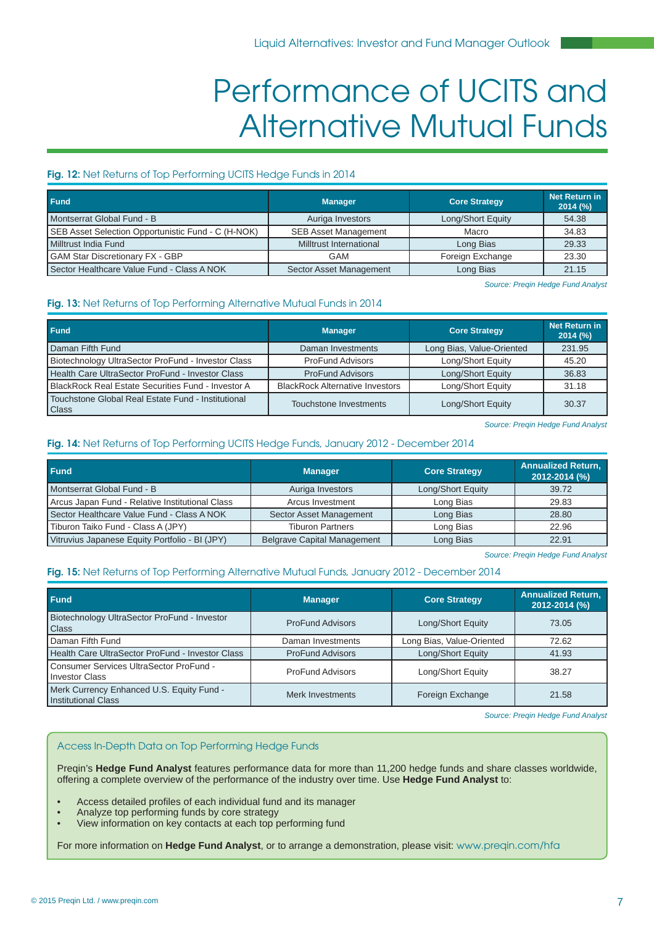# Performance of UCITS and Alternative Mutual Funds

# **Fig. 12:** Net Returns of Top Performing UCITS Hedge Funds in 2014

| <b>Fund</b>                                        | <b>Manager</b>              | <b>Core Strategy</b> | Net Return in<br>2014 (%) |
|----------------------------------------------------|-----------------------------|----------------------|---------------------------|
| Montserrat Global Fund - B                         | Auriga Investors            | Long/Short Equity    | 54.38                     |
| SEB Asset Selection Opportunistic Fund - C (H-NOK) | <b>SEB Asset Management</b> | Macro                | 34.83                     |
| Milltrust India Fund                               | Milltrust International     | Long Bias            | 29.33                     |
| <b>GAM Star Discretionary FX - GBP</b>             | GAM                         | Foreign Exchange     | 23.30                     |
| Sector Healthcare Value Fund - Class A NOK         | Sector Asset Management     | Long Bias            | 21.15                     |

*Source: Preqin Hedge Fund Analyst*

# **Fig. 13:** Net Returns of Top Performing Alternative Mutual Funds in 2014

| <b>Fund</b>                                                 | <b>Manager</b>                         | <b>Core Strategy</b>      | <b>Net Return in</b><br>2014 (%) |
|-------------------------------------------------------------|----------------------------------------|---------------------------|----------------------------------|
| Daman Fifth Fund                                            | Daman Investments                      | Long Bias, Value-Oriented | 231.95                           |
| Biotechnology UltraSector ProFund - Investor Class          | <b>ProFund Advisors</b>                | Long/Short Equity         | 45.20                            |
| Health Care UltraSector ProFund - Investor Class            | <b>ProFund Advisors</b>                | Long/Short Equity         | 36.83                            |
| <b>BlackRock Real Estate Securities Fund - Investor A</b>   | <b>BlackRock Alternative Investors</b> | Long/Short Equity         | 31.18                            |
| Touchstone Global Real Estate Fund - Institutional<br>Class | <b>Touchstone Investments</b>          | Long/Short Equity         | 30.37                            |

*Source: Preqin Hedge Fund Analyst*

# **Fig. 14:** Net Returns of Top Performing UCITS Hedge Funds, January 2012 - December 2014

| <b>Fund</b>                                     | <b>Manager</b>                     | <b>Core Strategy</b> | <b>Annualized Return,</b><br>2012-2014 (%) |
|-------------------------------------------------|------------------------------------|----------------------|--------------------------------------------|
| Montserrat Global Fund - B                      | Auriga Investors                   | Long/Short Equity    | 39.72                                      |
| Arcus Japan Fund - Relative Institutional Class | Arcus Investment                   | Long Bias            | 29.83                                      |
| Sector Healthcare Value Fund - Class A NOK      | Sector Asset Management            | Long Bias            | 28.80                                      |
| Tiburon Taiko Fund - Class A (JPY)              | <b>Tiburon Partners</b>            | Long Bias            | 22.96                                      |
| Vitruvius Japanese Equity Portfolio - BI (JPY)  | <b>Belgrave Capital Management</b> | Long Bias            | 22.91                                      |

*Source: Preqin Hedge Fund Analyst*

# **Fig. 15:** Net Returns of Top Performing Alternative Mutual Funds, January 2012 - December 2014

| Fund                                                                 | <b>Manager</b>          | <b>Core Strategy</b>      | <b>Annualized Return,</b><br>2012-2014 (%) |
|----------------------------------------------------------------------|-------------------------|---------------------------|--------------------------------------------|
| Biotechnology UltraSector ProFund - Investor<br><b>Class</b>         | <b>ProFund Advisors</b> | Long/Short Equity         | 73.05                                      |
| Daman Fifth Fund                                                     | Daman Investments       | Long Bias, Value-Oriented | 72.62                                      |
| Health Care UltraSector ProFund - Investor Class                     | <b>ProFund Advisors</b> | Long/Short Equity         | 41.93                                      |
| <b>I Consumer Services UltraSector ProFund -</b><br>I Investor Class | <b>ProFund Advisors</b> | Long/Short Equity         | 38.27                                      |
| Merk Currency Enhanced U.S. Equity Fund -<br>I Institutional Class   | Merk Investments        | Foreign Exchange          | 21.58                                      |

*Source: Preqin Hedge Fund Analyst*

## Access In-Depth Data on Top Performing Hedge Funds

Preqin's **Hedge Fund Analyst** features performance data for more than 11,200 hedge funds and share classes worldwide, offering a complete overview of the performance of the industry over time. Use **Hedge Fund Analyst** to:

- Access detailed profiles of each individual fund and its manager
- Analyze top performing funds by core strategy
- View information on key contacts at each top performing fund

For more information on **Hedge Fund Analyst**, or to arrange a demonstration, please visit: www.preqin.com/hfa